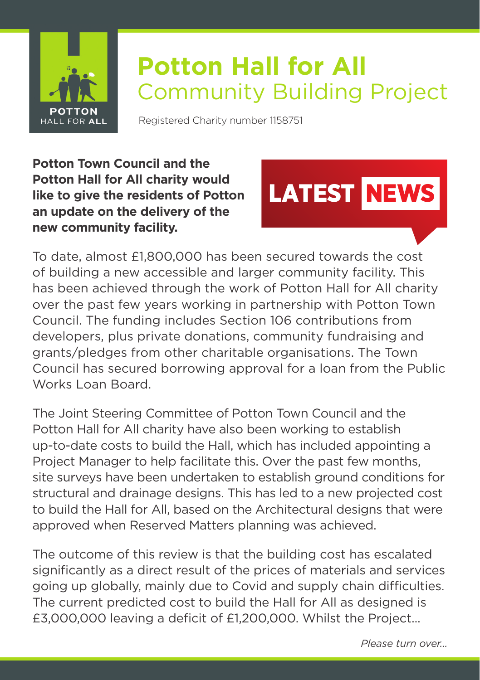

## **Potton Hall for All** Community Building Project

Registered Charity number 1158751

**Potton Town Council and the Potton Hall for All charity would like to give the residents of Potton an update on the delivery of the new community facility.**



To date, almost £1,800,000 has been secured towards the cost of building a new accessible and larger community facility. This has been achieved through the work of Potton Hall for All charity over the past few years working in partnership with Potton Town Council. The funding includes Section 106 contributions from developers, plus private donations, community fundraising and grants/pledges from other charitable organisations. The Town Council has secured borrowing approval for a loan from the Public Works Loan Board.

The Joint Steering Committee of Potton Town Council and the Potton Hall for All charity have also been working to establish up-to-date costs to build the Hall, which has included appointing a Project Manager to help facilitate this. Over the past few months, site surveys have been undertaken to establish ground conditions for structural and drainage designs. This has led to a new projected cost to build the Hall for All, based on the Architectural designs that were approved when Reserved Matters planning was achieved.

The outcome of this review is that the building cost has escalated significantly as a direct result of the prices of materials and services going up globally, mainly due to Covid and supply chain difficulties. The current predicted cost to build the Hall for All as designed is £3,000,000 leaving a deficit of £1,200,000. Whilst the Project...